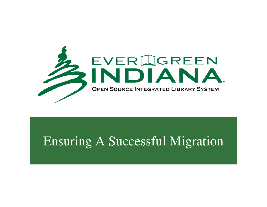

#### Ensuring A Successful Migration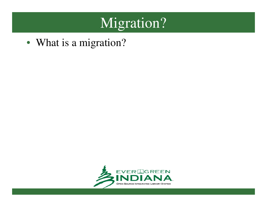# Migration?

• What is a migration?

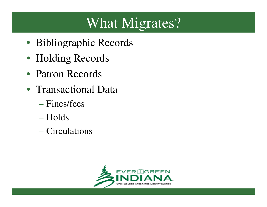# What Migrates?

- Bibliographic Records
- Holding Records
- Patron Records
- Transactional Data
	- Fines/fees
	- Holds
	- Circulations

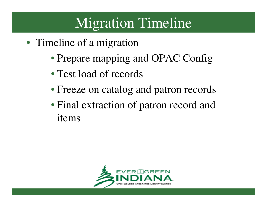### Migration Timeline

- Timeline of a migration
	- Prepare mapping and OPAC Config
	- Test load of records
	- Freeze on catalog and patron records
	- Final extraction of patron record and items

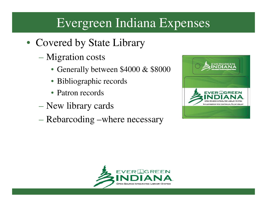#### Evergreen Indiana Expenses

- Covered by State Library
	- Migration costs
		- Generally between \$4000 & \$8000
		- Bibliographic records
		- Patron records
	- New library cards
	- Rebarcoding –where necessary



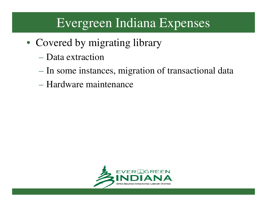#### Evergreen Indiana Expenses

- Covered by migrating library
	- Data extraction
	- In some instances, migration of transactional data
	- Hardware maintenance

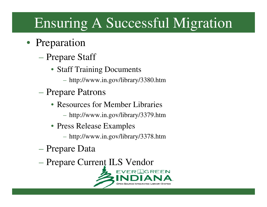# Ensuring A Successful Migration

- Preparation
	- Prepare Staff
		- Staff Training Documents
			- http://www.in.gov/library/3380.htm
	- Prepare Patrons
		- Resources for Member Libraries
			- http://www.in.gov/library/3379.htm
		- Press Release Examples
			- http://www.in.gov/library/3378.htm
	- Prepare Data
	- Prepare Current ILS Vendor

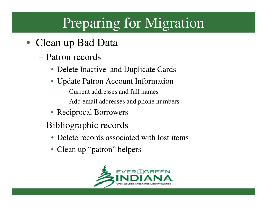# Preparing for Migration

- Clean up Bad Data
	- Patron records
		- Delete Inactive and Duplicate Cards
		- Update Patron Account Information
			- Current addresses and full names
			- Add email addresses and phone numbers
		- Reciprocal Borrowers
	- Bibliographic records
		- Delete records associated with lost items
		- Clean up "patron" helpers

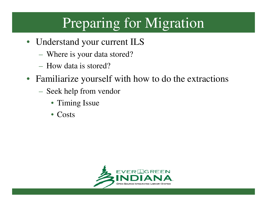## Preparing for Migration

- Understand your current ILS
	- $\mathcal{L}_{\mathcal{A}}$ Where is your data stored?
	- $\mathcal{L}_{\mathcal{A}}$ - How data is stored?
- Familiarize yourself with how to do the extractions
	- $\mathcal{L}_{\mathcal{A}}$  Seek help from vendor
		- Timing Issue
		- Costs

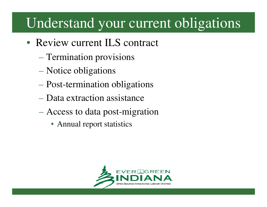### Understand your current obligations

- Review current ILS contract
	- Termination provisions
	- Notice obligations
	- Post-termination obligations
	- Data extraction assistance
	- Access to data post-migration
		- Annual report statistics

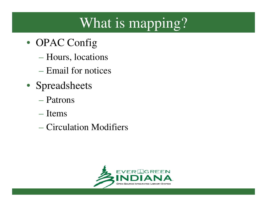# What is mapping?

- OPAC Config
	- Hours, locations
	- Email for notices
- Spreadsheets
	- Patrons
	- Items
	- Circulation Modifiers

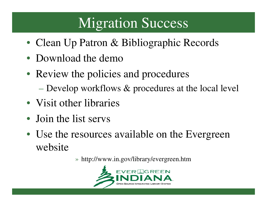### **Migration Success**

- Clean Up Patron & Bibliographic Records
- Download the demo
- Review the policies and procedures
	- $-$  Develop workflows  $\&$  procedures at the local level
- Visit other libraries
- Join the list servs
- Use the resources available on the Evergreen website

» http://www.in.gov/library/evergreen.htm